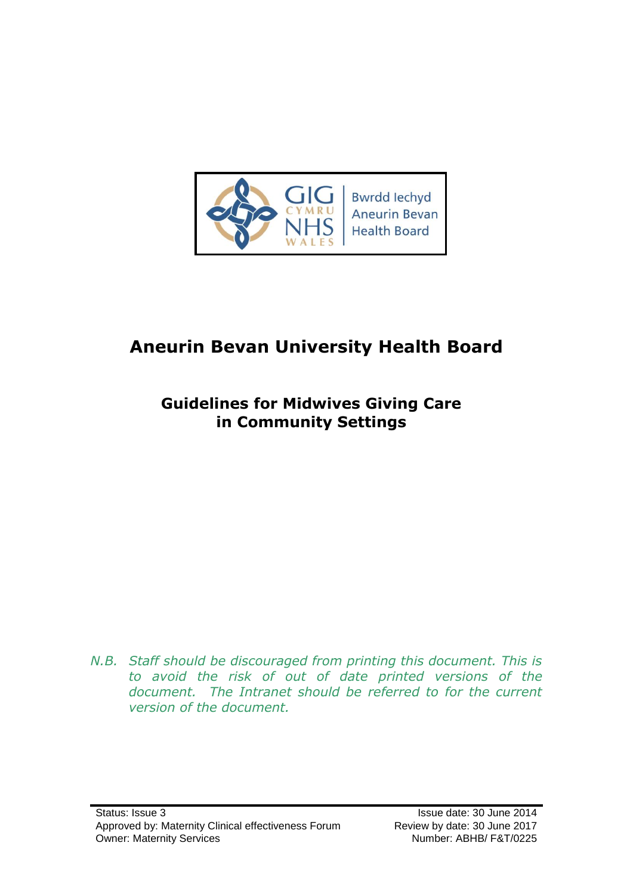

# **Aneurin Bevan University Health Board**

## **Guidelines for Midwives Giving Care in Community Settings**

*N.B. Staff should be discouraged from printing this document. This is to avoid the risk of out of date printed versions of the document. The Intranet should be referred to for the current version of the document.*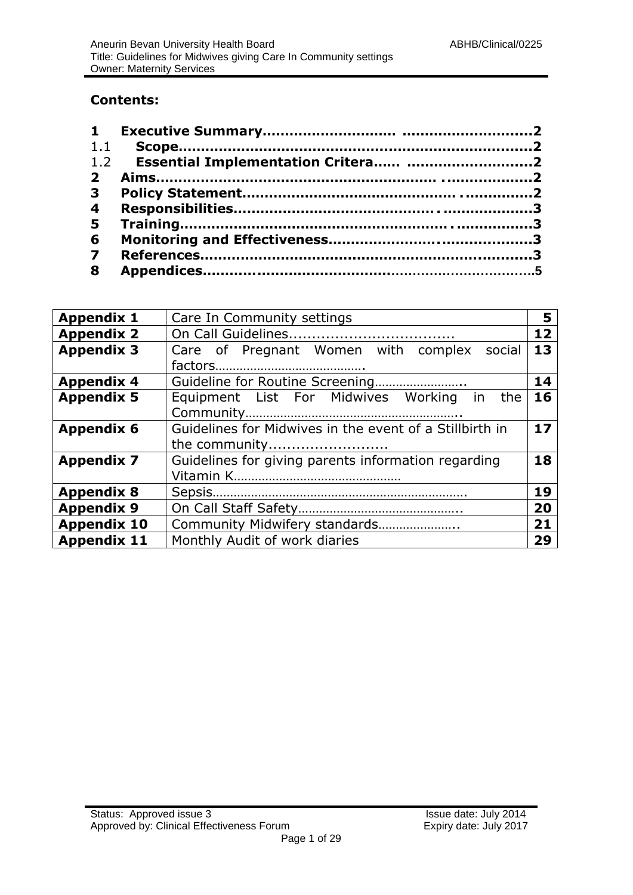#### **Contents:**

| 3 <sup>7</sup>          |  |
|-------------------------|--|
| $\overline{\mathbf{4}}$ |  |
|                         |  |
| 6                       |  |
| $\overline{7}$          |  |
| 8                       |  |

| <b>Appendix 1</b>  | Care In Community settings                                    |    |  |  |  |
|--------------------|---------------------------------------------------------------|----|--|--|--|
| <b>Appendix 2</b>  | 12                                                            |    |  |  |  |
| <b>Appendix 3</b>  | Care of Pregnant Women with complex social                    | 13 |  |  |  |
|                    |                                                               |    |  |  |  |
| <b>Appendix 4</b>  | 14                                                            |    |  |  |  |
| <b>Appendix 5</b>  | 16<br>Equipment List For Midwives Working in the              |    |  |  |  |
|                    |                                                               |    |  |  |  |
| <b>Appendix 6</b>  | Guidelines for Midwives in the event of a Stillbirth in<br>17 |    |  |  |  |
|                    | the community                                                 |    |  |  |  |
| <b>Appendix 7</b>  | Guidelines for giving parents information regarding<br>18     |    |  |  |  |
|                    |                                                               |    |  |  |  |
| <b>Appendix 8</b>  | 19                                                            |    |  |  |  |
| <b>Appendix 9</b>  | 20                                                            |    |  |  |  |
| <b>Appendix 10</b> | Community Midwifery standards                                 | 21 |  |  |  |
| <b>Appendix 11</b> | Monthly Audit of work diaries                                 | 29 |  |  |  |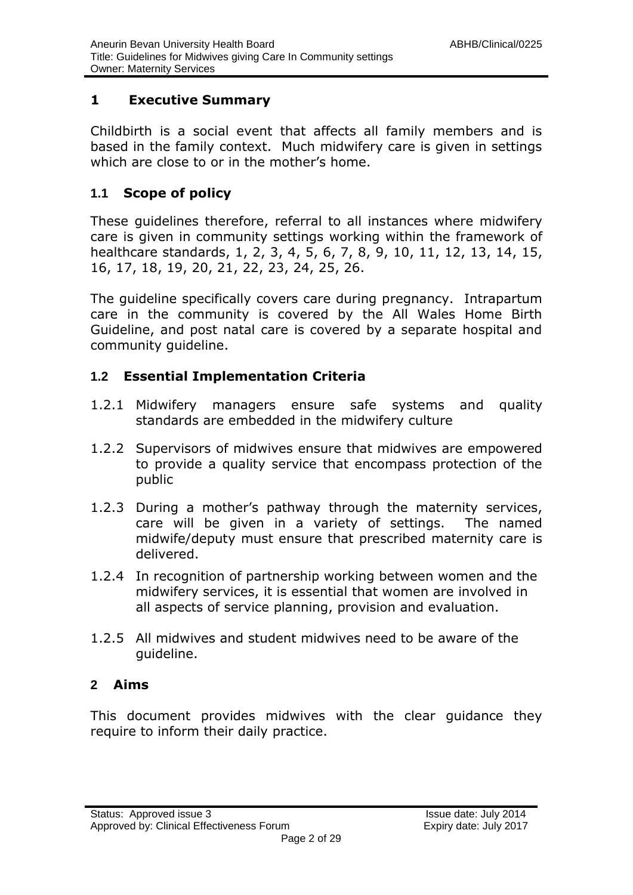#### **1 Executive Summary**

Childbirth is a social event that affects all family members and is based in the family context. Much midwifery care is given in settings which are close to or in the mother's home.

#### **1.1 Scope of policy**

These guidelines therefore, referral to all instances where midwifery care is given in community settings working within the framework of healthcare standards, 1, 2, 3, 4, 5, 6, 7, 8, 9, 10, 11, 12, 13, 14, 15, 16, 17, 18, 19, 20, 21, 22, 23, 24, 25, 26.

The guideline specifically covers care during pregnancy. Intrapartum care in the community is covered by the All Wales Home Birth Guideline, and post natal care is covered by a separate hospital and community guideline.

#### **1.2 Essential Implementation Criteria**

- 1.2.1 Midwifery managers ensure safe systems and quality standards are embedded in the midwifery culture
- 1.2.2 Supervisors of midwives ensure that midwives are empowered to provide a quality service that encompass protection of the public
- 1.2.3 During a mother's pathway through the maternity services, care will be given in a variety of settings. The named midwife/deputy must ensure that prescribed maternity care is delivered.
- 1.2.4 In recognition of partnership working between women and the midwifery services, it is essential that women are involved in all aspects of service planning, provision and evaluation.
- 1.2.5 All midwives and student midwives need to be aware of the guideline.

#### **2 Aims**

This document provides midwives with the clear guidance they require to inform their daily practice.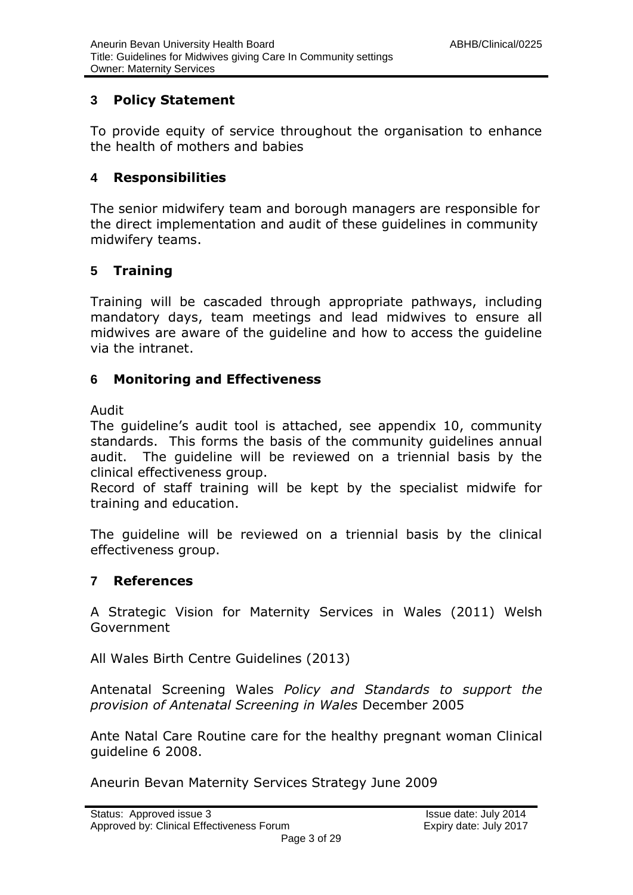#### **3 Policy Statement**

To provide equity of service throughout the organisation to enhance the health of mothers and babies

#### <span id="page-3-0"></span>**4 Responsibilities**

The senior midwifery team and borough managers are responsible for the direct implementation and audit of these guidelines in community midwifery teams.

#### <span id="page-3-1"></span>**5 Training**

Training will be cascaded through appropriate pathways, including mandatory days, team meetings and lead midwives to ensure all midwives are aware of the guideline and how to access the guideline via the intranet.

#### <span id="page-3-2"></span>**6 Monitoring and Effectiveness**

#### Audit

The guideline's audit tool is attached, see appendix 10, community standards. This forms the basis of the community guidelines annual audit. The guideline will be reviewed on a triennial basis by the clinical effectiveness group.

Record of staff training will be kept by the specialist midwife for training and education.

The guideline will be reviewed on a triennial basis by the clinical effectiveness group.

#### **7 References**

A Strategic Vision for Maternity Services in Wales (2011) Welsh Government

All Wales Birth Centre Guidelines (2013)

Antenatal Screening Wales *Policy and Standards to support the provision of Antenatal Screening in Wales* December 2005

Ante Natal Care Routine care for the healthy pregnant woman Clinical guideline 6 2008.

Aneurin Bevan Maternity Services Strategy June 2009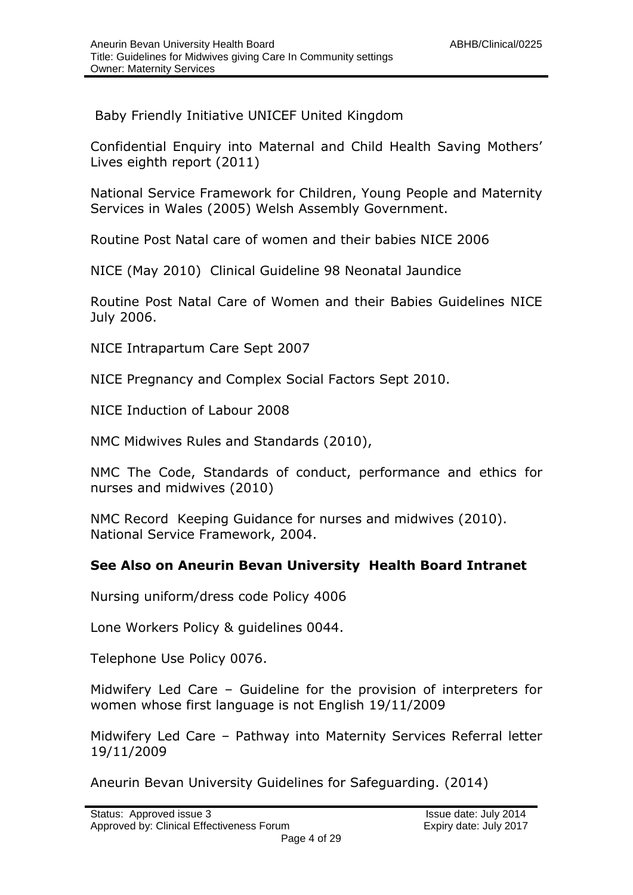Baby Friendly Initiative UNICEF United Kingdom

Confidential Enquiry into Maternal and Child Health Saving Mothers' Lives eighth report (2011)

National Service Framework for Children, Young People and Maternity Services in Wales (2005) Welsh Assembly Government.

Routine Post Natal care of women and their babies NICE 2006

NICE (May 2010) Clinical Guideline 98 Neonatal Jaundice

Routine Post Natal Care of Women and their Babies Guidelines NICE July 2006.

NICE Intrapartum Care Sept 2007

NICE Pregnancy and Complex Social Factors Sept 2010.

NICE Induction of Labour 2008

NMC Midwives Rules and Standards (2010),

NMC The Code, Standards of conduct, performance and ethics for nurses and midwives (2010)

NMC Record Keeping Guidance for nurses and midwives (2010). National Service Framework, 2004.

#### **See Also on Aneurin Bevan University Health Board Intranet**

Nursing uniform/dress code Policy 4006

Lone Workers Policy & guidelines 0044.

Telephone Use Policy 0076.

Midwifery Led Care – Guideline for the provision of interpreters for women whose first language is not English 19/11/2009

Midwifery Led Care – Pathway into Maternity Services Referral letter 19/11/2009

Aneurin Bevan University Guidelines for Safeguarding. (2014)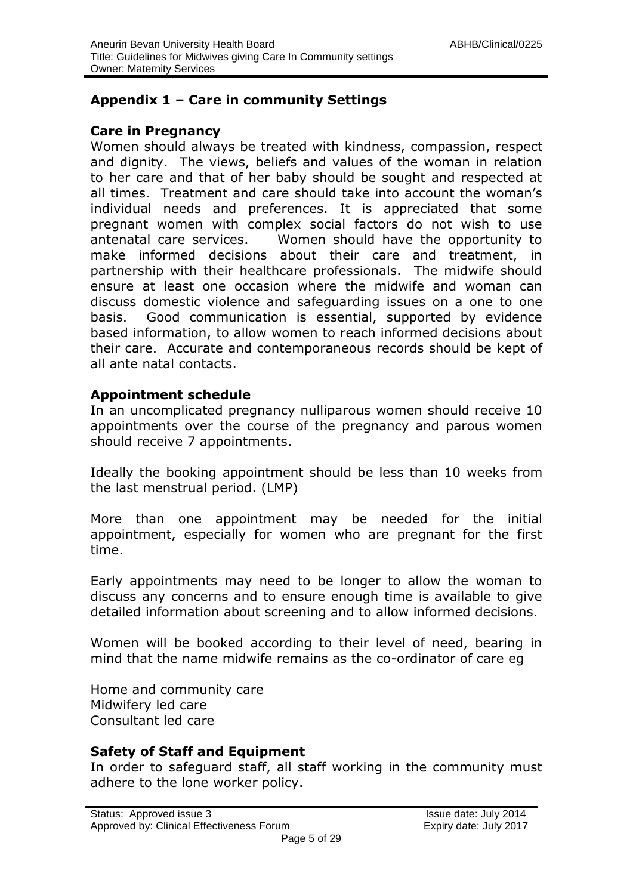#### **Appendix 1 – Care in community Settings**

#### **Care in Pregnancy**

Women should always be treated with kindness, compassion, respect and dignity. The views, beliefs and values of the woman in relation to her care and that of her baby should be sought and respected at all times. Treatment and care should take into account the woman's individual needs and preferences. It is appreciated that some pregnant women with complex social factors do not wish to use antenatal care services. Women should have the opportunity to make informed decisions about their care and treatment, in partnership with their healthcare professionals. The midwife should ensure at least one occasion where the midwife and woman can discuss domestic violence and safeguarding issues on a one to one basis. Good communication is essential, supported by evidence based information, to allow women to reach informed decisions about their care. Accurate and contemporaneous records should be kept of all ante natal contacts.

#### **Appointment schedule**

In an uncomplicated pregnancy nulliparous women should receive 10 appointments over the course of the pregnancy and parous women should receive 7 appointments.

Ideally the booking appointment should be less than 10 weeks from the last menstrual period. (LMP)

More than one appointment may be needed for the initial appointment, especially for women who are pregnant for the first time.

Early appointments may need to be longer to allow the woman to discuss any concerns and to ensure enough time is available to give detailed information about screening and to allow informed decisions.

Women will be booked according to their level of need, bearing in mind that the name midwife remains as the co-ordinator of care eg

Home and community care Midwifery led care Consultant led care

#### **Safety of Staff and Equipment**

In order to safeguard staff, all staff working in the community must adhere to the lone worker policy.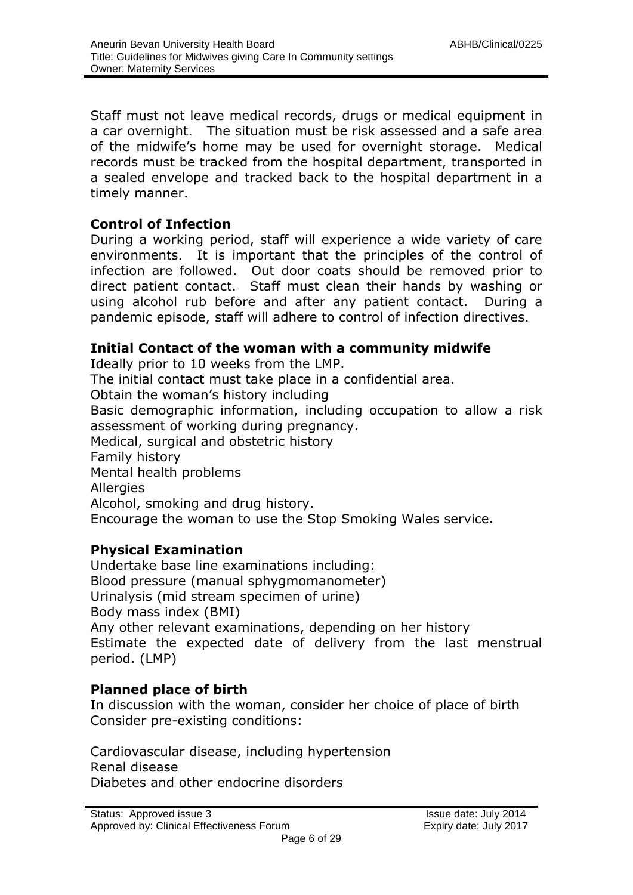Staff must not leave medical records, drugs or medical equipment in a car overnight. The situation must be risk assessed and a safe area of the midwife's home may be used for overnight storage. Medical records must be tracked from the hospital department, transported in a sealed envelope and tracked back to the hospital department in a timely manner.

#### **Control of Infection**

During a working period, staff will experience a wide variety of care environments. It is important that the principles of the control of infection are followed. Out door coats should be removed prior to direct patient contact. Staff must clean their hands by washing or using alcohol rub before and after any patient contact. During a pandemic episode, staff will adhere to control of infection directives.

#### **Initial Contact of the woman with a community midwife**

Ideally prior to 10 weeks from the LMP.

The initial contact must take place in a confidential area.

Obtain the woman's history including

Basic demographic information, including occupation to allow a risk assessment of working during pregnancy.

Medical, surgical and obstetric history

Family history

Mental health problems

**Allergies** 

Alcohol, smoking and drug history.

Encourage the woman to use the Stop Smoking Wales service.

#### **Physical Examination**

Undertake base line examinations including: Blood pressure (manual sphygmomanometer) Urinalysis (mid stream specimen of urine) Body mass index (BMI) Any other relevant examinations, depending on her history Estimate the expected date of delivery from the last menstrual period. (LMP)

#### **Planned place of birth**

In discussion with the woman, consider her choice of place of birth Consider pre-existing conditions:

Cardiovascular disease, including hypertension Renal disease Diabetes and other endocrine disorders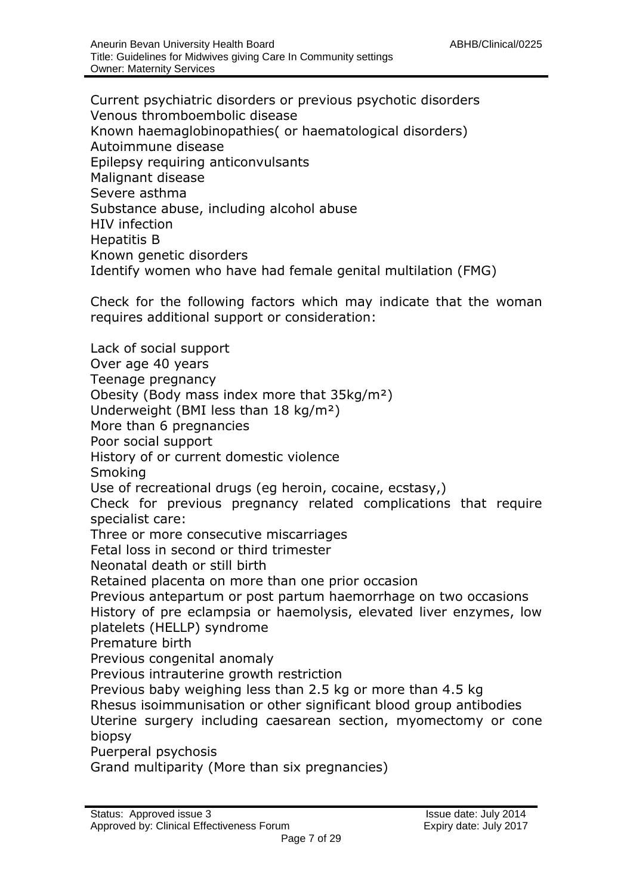Current psychiatric disorders or previous psychotic disorders Venous thromboembolic disease Known haemaglobinopathies( or haematological disorders) Autoimmune disease Epilepsy requiring anticonvulsants Malignant disease Severe asthma Substance abuse, including alcohol abuse HIV infection Hepatitis B Known genetic disorders Identify women who have had female genital multilation (FMG)

Check for the following factors which may indicate that the woman requires additional support or consideration:

Lack of social support Over age 40 years Teenage pregnancy Obesity (Body mass index more that 35kg/m²) Underweight (BMI less than 18 kg/m²) More than 6 pregnancies Poor social support History of or current domestic violence Smoking Use of recreational drugs (eg heroin, cocaine, ecstasy,) Check for previous pregnancy related complications that require specialist care: Three or more consecutive miscarriages Fetal loss in second or third trimester Neonatal death or still birth Retained placenta on more than one prior occasion Previous antepartum or post partum haemorrhage on two occasions History of pre eclampsia or haemolysis, elevated liver enzymes, low platelets (HELLP) syndrome Premature birth Previous congenital anomaly Previous intrauterine growth restriction Previous baby weighing less than 2.5 kg or more than 4.5 kg Rhesus isoimmunisation or other significant blood group antibodies Uterine surgery including caesarean section, myomectomy or cone biopsy Puerperal psychosis Grand multiparity (More than six pregnancies)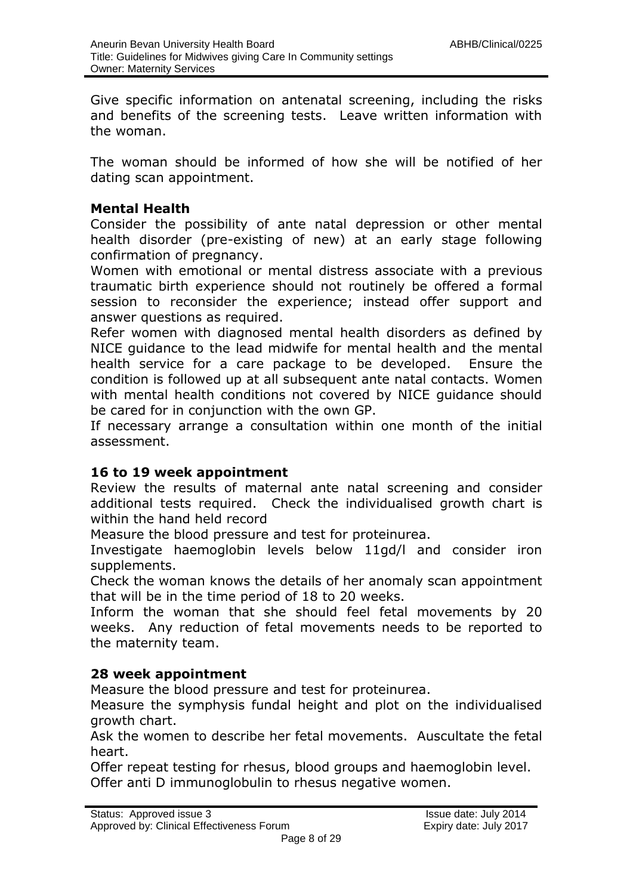Give specific information on antenatal screening, including the risks and benefits of the screening tests. Leave written information with the woman.

The woman should be informed of how she will be notified of her dating scan appointment.

#### **Mental Health**

Consider the possibility of ante natal depression or other mental health disorder (pre-existing of new) at an early stage following confirmation of pregnancy.

Women with emotional or mental distress associate with a previous traumatic birth experience should not routinely be offered a formal session to reconsider the experience; instead offer support and answer questions as required.

Refer women with diagnosed mental health disorders as defined by NICE guidance to the lead midwife for mental health and the mental health service for a care package to be developed. Ensure the condition is followed up at all subsequent ante natal contacts. Women with mental health conditions not covered by NICE guidance should be cared for in conjunction with the own GP.

If necessary arrange a consultation within one month of the initial assessment.

#### **16 to 19 week appointment**

Review the results of maternal ante natal screening and consider additional tests required. Check the individualised growth chart is within the hand held record

Measure the blood pressure and test for proteinurea.

Investigate haemoglobin levels below 11gd/l and consider iron supplements.

Check the woman knows the details of her anomaly scan appointment that will be in the time period of 18 to 20 weeks.

Inform the woman that she should feel fetal movements by 20 weeks. Any reduction of fetal movements needs to be reported to the maternity team.

#### **28 week appointment**

Measure the blood pressure and test for proteinurea.

Measure the symphysis fundal height and plot on the individualised growth chart.

Ask the women to describe her fetal movements. Auscultate the fetal heart.

Offer repeat testing for rhesus, blood groups and haemoglobin level. Offer anti D immunoglobulin to rhesus negative women.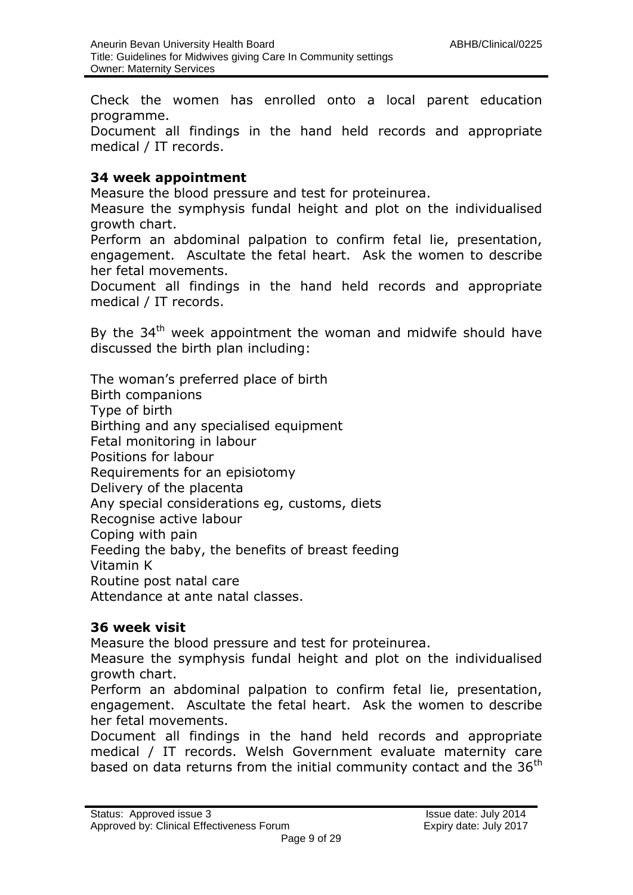Check the women has enrolled onto a local parent education programme.

Document all findings in the hand held records and appropriate medical / IT records.

#### **34 week appointment**

Measure the blood pressure and test for proteinurea.

Measure the symphysis fundal height and plot on the individualised growth chart.

Perform an abdominal palpation to confirm fetal lie, presentation, engagement. Ascultate the fetal heart. Ask the women to describe her fetal movements.

Document all findings in the hand held records and appropriate medical / IT records.

By the 34<sup>th</sup> week appointment the woman and midwife should have discussed the birth plan including:

The woman's preferred place of birth Birth companions Type of birth Birthing and any specialised equipment Fetal monitoring in labour Positions for labour Requirements for an episiotomy Delivery of the placenta Any special considerations eg, customs, diets Recognise active labour Coping with pain Feeding the baby, the benefits of breast feeding Vitamin K Routine post natal care Attendance at ante natal classes.

#### **36 week visit**

Measure the blood pressure and test for proteinurea.

Measure the symphysis fundal height and plot on the individualised growth chart.

Perform an abdominal palpation to confirm fetal lie, presentation, engagement. Ascultate the fetal heart. Ask the women to describe her fetal movements.

Document all findings in the hand held records and appropriate medical / IT records. Welsh Government evaluate maternity care based on data returns from the initial community contact and the 36<sup>th</sup>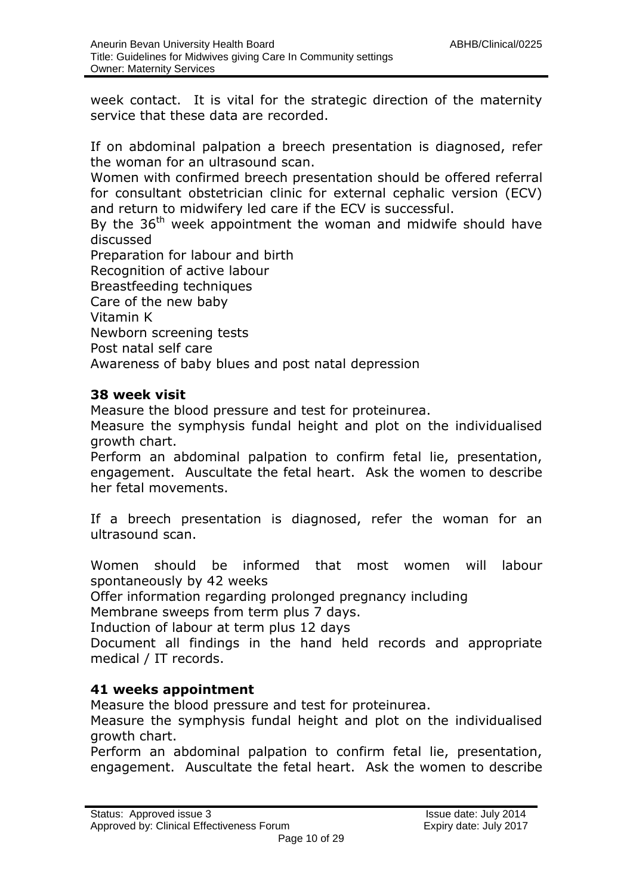week contact. It is vital for the strategic direction of the maternity service that these data are recorded.

If on abdominal palpation a breech presentation is diagnosed, refer the woman for an ultrasound scan.

Women with confirmed breech presentation should be offered referral for consultant obstetrician clinic for external cephalic version (ECV) and return to midwifery led care if the ECV is successful.

By the  $36<sup>th</sup>$  week appointment the woman and midwife should have discussed

Preparation for labour and birth Recognition of active labour Breastfeeding techniques Care of the new baby Vitamin K Newborn screening tests Post natal self care Awareness of baby blues and post natal depression

#### **38 week visit**

Measure the blood pressure and test for proteinurea.

Measure the symphysis fundal height and plot on the individualised growth chart.

Perform an abdominal palpation to confirm fetal lie, presentation, engagement. Auscultate the fetal heart. Ask the women to describe her fetal movements.

If a breech presentation is diagnosed, refer the woman for an ultrasound scan.

Women should be informed that most women will labour spontaneously by 42 weeks

Offer information regarding prolonged pregnancy including

Membrane sweeps from term plus 7 days.

Induction of labour at term plus 12 days

Document all findings in the hand held records and appropriate medical / IT records.

#### **41 weeks appointment**

Measure the blood pressure and test for proteinurea.

Measure the symphysis fundal height and plot on the individualised growth chart.

Perform an abdominal palpation to confirm fetal lie, presentation, engagement. Auscultate the fetal heart. Ask the women to describe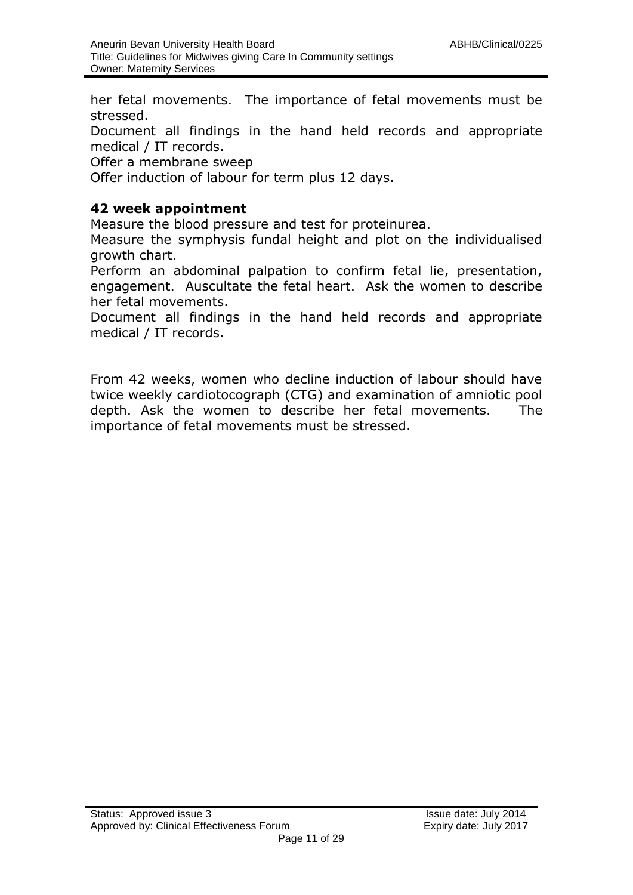her fetal movements. The importance of fetal movements must be stressed.

Document all findings in the hand held records and appropriate medical / IT records.

Offer a membrane sweep

Offer induction of labour for term plus 12 days.

#### **42 week appointment**

Measure the blood pressure and test for proteinurea.

Measure the symphysis fundal height and plot on the individualised growth chart.

Perform an abdominal palpation to confirm fetal lie, presentation, engagement. Auscultate the fetal heart. Ask the women to describe her fetal movements.

Document all findings in the hand held records and appropriate medical / IT records.

From 42 weeks, women who decline induction of labour should have twice weekly cardiotocograph (CTG) and examination of amniotic pool depth. Ask the women to describe her fetal movements. The importance of fetal movements must be stressed.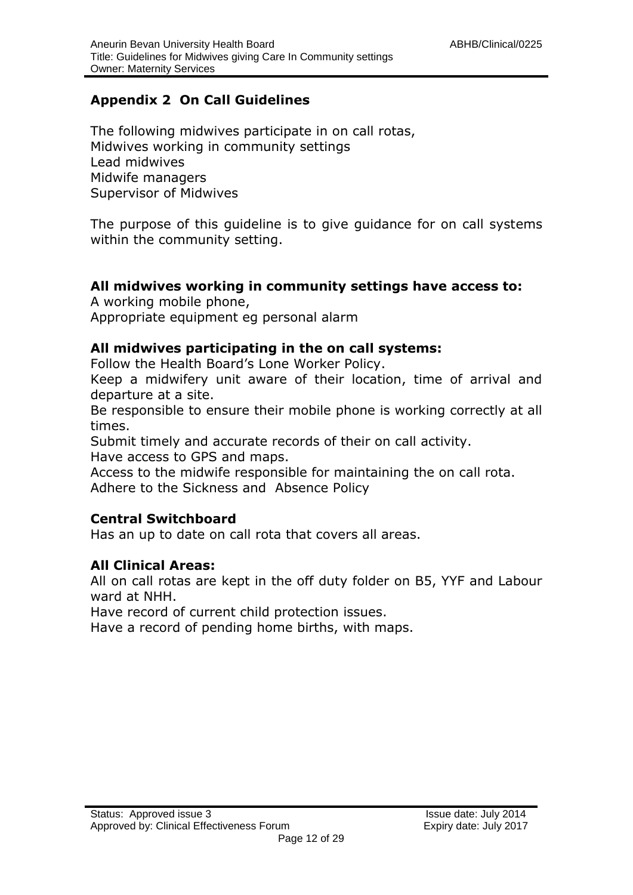### **Appendix 2 On Call Guidelines**

The following midwives participate in on call rotas, Midwives working in community settings Lead midwives Midwife managers Supervisor of Midwives

The purpose of this guideline is to give guidance for on call systems within the community setting.

#### **All midwives working in community settings have access to:**

A working mobile phone,

Appropriate equipment eg personal alarm

#### **All midwives participating in the on call systems:**

Follow the Health Board's Lone Worker Policy.

Keep a midwifery unit aware of their location, time of arrival and departure at a site.

Be responsible to ensure their mobile phone is working correctly at all times.

Submit timely and accurate records of their on call activity.

Have access to GPS and maps.

Access to the midwife responsible for maintaining the on call rota. Adhere to the Sickness and Absence Policy

#### **Central Switchboard**

Has an up to date on call rota that covers all areas.

#### **All Clinical Areas:**

All on call rotas are kept in the off duty folder on B5, YYF and Labour ward at NHH.

Have record of current child protection issues.

Have a record of pending home births, with maps.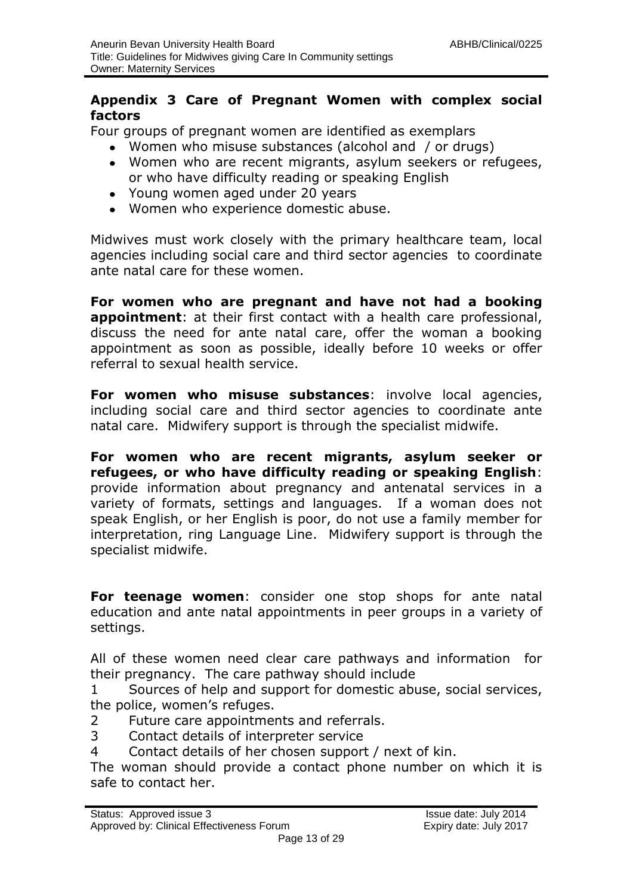#### **Appendix 3 Care of Pregnant Women with complex social factors**

Four groups of pregnant women are identified as exemplars

- Women who misuse substances (alcohol and / or drugs)
- Women who are recent migrants, asylum seekers or refugees, or who have difficulty reading or speaking English
- Young women aged under 20 years
- Women who experience domestic abuse.

Midwives must work closely with the primary healthcare team, local agencies including social care and third sector agencies to coordinate ante natal care for these women.

**For women who are pregnant and have not had a booking appointment**: at their first contact with a health care professional, discuss the need for ante natal care, offer the woman a booking appointment as soon as possible, ideally before 10 weeks or offer referral to sexual health service.

**For women who misuse substances**: involve local agencies, including social care and third sector agencies to coordinate ante natal care. Midwifery support is through the specialist midwife.

**For women who are recent migrants, asylum seeker or refugees, or who have difficulty reading or speaking English**: provide information about pregnancy and antenatal services in a variety of formats, settings and languages. If a woman does not speak English, or her English is poor, do not use a family member for interpretation, ring Language Line. Midwifery support is through the specialist midwife.

**For teenage women**: consider one stop shops for ante natal education and ante natal appointments in peer groups in a variety of settings.

All of these women need clear care pathways and information for their pregnancy. The care pathway should include

1 Sources of help and support for domestic abuse, social services, the police, women's refuges.

- 2 Future care appointments and referrals.
- 3 Contact details of interpreter service
- 4 Contact details of her chosen support / next of kin.

The woman should provide a contact phone number on which it is safe to contact her.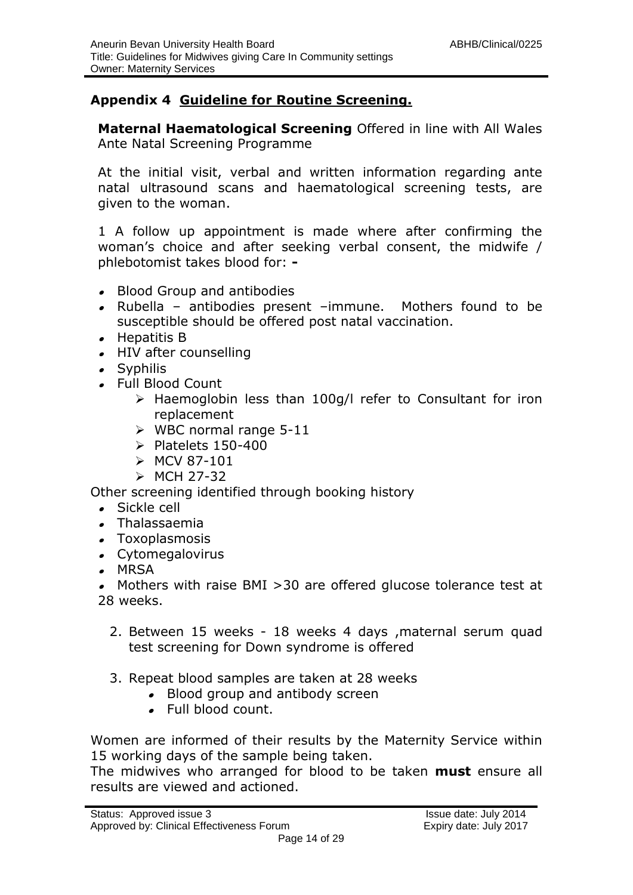#### **Appendix 4 Guideline for Routine Screening.**

**Maternal Haematological Screening** Offered in line with All Wales Ante Natal Screening Programme

At the initial visit, verbal and written information regarding ante natal ultrasound scans and haematological screening tests, are given to the woman.

1 A follow up appointment is made where after confirming the woman's choice and after seeking verbal consent, the midwife / phlebotomist takes blood for: **-**

- Blood Group and antibodies
- Rubella antibodies present –immune. Mothers found to be susceptible should be offered post natal vaccination.
- Hepatitis B
- HIV after counselling
- Syphilis
- Full Blood Count
	- $\triangleright$  Haemoglobin less than 100g/l refer to Consultant for iron replacement
	- $\triangleright$  WBC normal range 5-11
	- $\triangleright$  Platelets 150-400
	- $>$  MCV 87-101
	- $\triangleright$  MCH 27-32

Other screening identified through booking history

- Sickle cell
- Thalassaemia
- Toxoplasmosis
- Cytomegalovirus
- MRSA

Mothers with raise BMI >30 are offered glucose tolerance test at  $\bullet$ 28 weeks.

- 2. Between 15 weeks 18 weeks 4 days ,maternal serum quad test screening for Down syndrome is offered
- 3. Repeat blood samples are taken at 28 weeks
	- Blood group and antibody screen
	- Full blood count.

Women are informed of their results by the Maternity Service within 15 working days of the sample being taken.

The midwives who arranged for blood to be taken **must** ensure all results are viewed and actioned.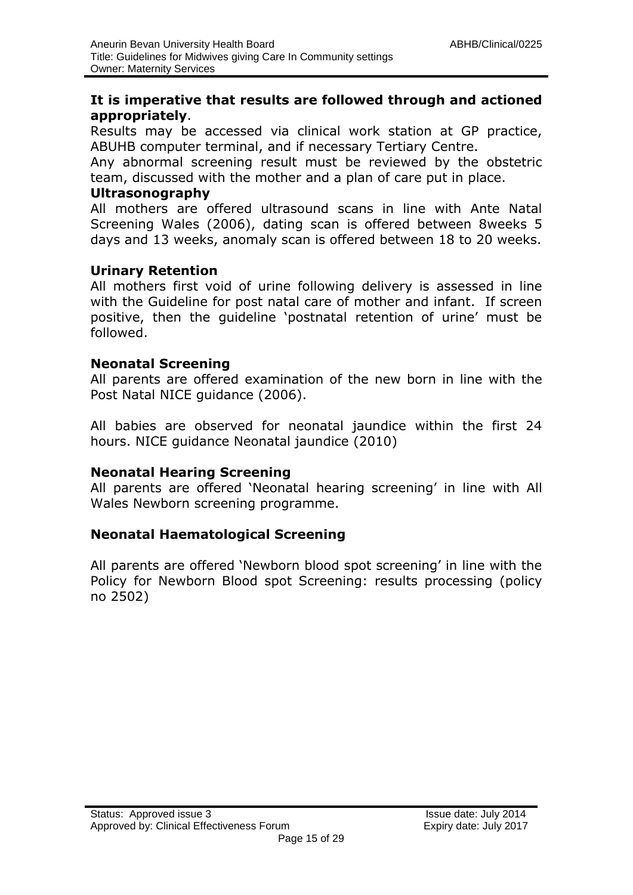#### **It is imperative that results are followed through and actioned appropriately**.

Results may be accessed via clinical work station at GP practice, ABUHB computer terminal, and if necessary Tertiary Centre.

Any abnormal screening result must be reviewed by the obstetric team, discussed with the mother and a plan of care put in place.

#### **Ultrasonography**

All mothers are offered ultrasound scans in line with Ante Natal Screening Wales (2006), dating scan is offered between 8weeks 5 days and 13 weeks, anomaly scan is offered between 18 to 20 weeks.

#### **Urinary Retention**

All mothers first void of urine following delivery is assessed in line with the Guideline for post natal care of mother and infant. If screen positive, then the guideline 'postnatal retention of urine' must be followed.

#### **Neonatal Screening**

All parents are offered examination of the new born in line with the Post Natal NICE guidance (2006).

All babies are observed for neonatal jaundice within the first 24 hours. NICE guidance Neonatal jaundice (2010)

#### **Neonatal Hearing Screening**

All parents are offered 'Neonatal hearing screening' in line with All Wales Newborn screening programme.

#### **Neonatal Haematological Screening**

All parents are offered 'Newborn blood spot screening' in line with the Policy for Newborn Blood spot Screening: results processing (policy no 2502)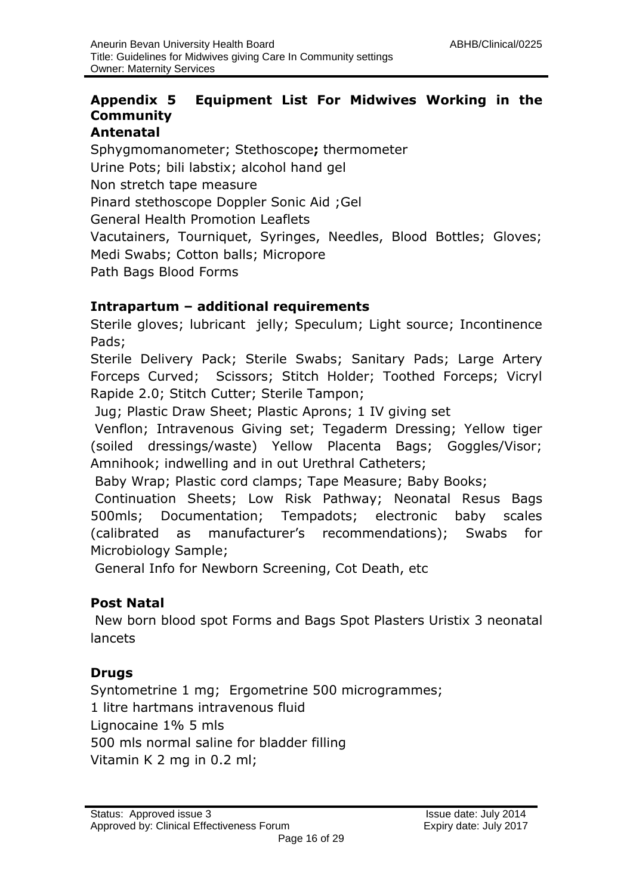#### **Appendix 5 Equipment List For Midwives Working in the Community Antenatal**

Sphygmomanometer; Stethoscope**;** thermometer Urine Pots; bili labstix; alcohol hand gel Non stretch tape measure Pinard stethoscope Doppler Sonic Aid ;Gel General Health Promotion Leaflets Vacutainers, Tourniquet, Syringes, Needles, Blood Bottles; Gloves; Medi Swabs; Cotton balls; Micropore Path Bags Blood Forms

#### **Intrapartum – additional requirements**

Sterile gloves; lubricant jelly; Speculum; Light source; Incontinence Pads;

Sterile Delivery Pack; Sterile Swabs; Sanitary Pads; Large Artery Forceps Curved; Scissors; Stitch Holder; Toothed Forceps; Vicryl Rapide 2.0; Stitch Cutter; Sterile Tampon;

Jug; Plastic Draw Sheet; Plastic Aprons; 1 IV giving set

Venflon; Intravenous Giving set; Tegaderm Dressing; Yellow tiger (soiled dressings/waste) Yellow Placenta Bags; Goggles/Visor; Amnihook; indwelling and in out Urethral Catheters;

Baby Wrap; Plastic cord clamps; Tape Measure; Baby Books;

Continuation Sheets; Low Risk Pathway; Neonatal Resus Bags 500mls; Documentation; Tempadots; electronic baby scales (calibrated as manufacturer's recommendations); Swabs for Microbiology Sample;

General Info for Newborn Screening, Cot Death, etc

#### **Post Natal**

New born blood spot Forms and Bags Spot Plasters Uristix 3 neonatal lancets

#### **Drugs**

Syntometrine 1 mg; Ergometrine 500 microgrammes; 1 litre hartmans intravenous fluid Lignocaine 1% 5 mls 500 mls normal saline for bladder filling Vitamin K 2 mg in 0.2 ml;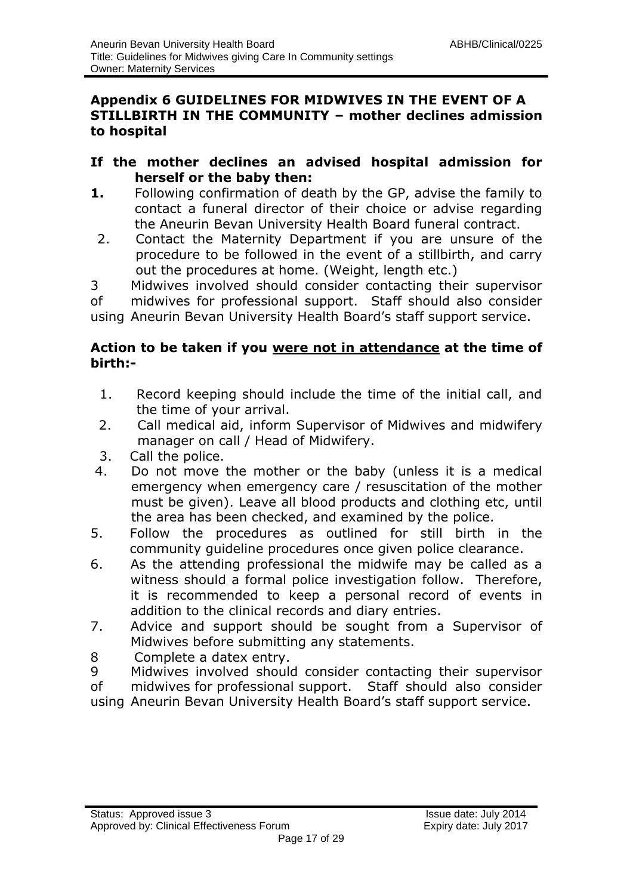#### **Appendix 6 GUIDELINES FOR MIDWIVES IN THE EVENT OF A STILLBIRTH IN THE COMMUNITY – mother declines admission to hospital**

#### **If the mother declines an advised hospital admission for herself or the baby then:**

- **1.** Following confirmation of death by the GP, advise the family to contact a funeral director of their choice or advise regarding the Aneurin Bevan University Health Board funeral contract.
- 2. Contact the Maternity Department if you are unsure of the procedure to be followed in the event of a stillbirth, and carry out the procedures at home. (Weight, length etc.)

3 Midwives involved should consider contacting their supervisor of midwives for professional support. Staff should also consider using Aneurin Bevan University Health Board's staff support service.

#### **Action to be taken if you were not in attendance at the time of birth:-**

- 1. Record keeping should include the time of the initial call, and the time of your arrival.
- 2. Call medical aid, inform Supervisor of Midwives and midwifery manager on call / Head of Midwifery.
- 3. Call the police.
- 4. Do not move the mother or the baby (unless it is a medical emergency when emergency care / resuscitation of the mother must be given). Leave all blood products and clothing etc, until the area has been checked, and examined by the police.
- 5. Follow the procedures as outlined for still birth in the community guideline procedures once given police clearance.
- 6. As the attending professional the midwife may be called as a witness should a formal police investigation follow. Therefore, it is recommended to keep a personal record of events in addition to the clinical records and diary entries.
- 7. Advice and support should be sought from a Supervisor of Midwives before submitting any statements.
- 8 Complete a datex entry.
- 9 Midwives involved should consider contacting their supervisor of midwives for professional support. Staff should also consider using Aneurin Bevan University Health Board's staff support service.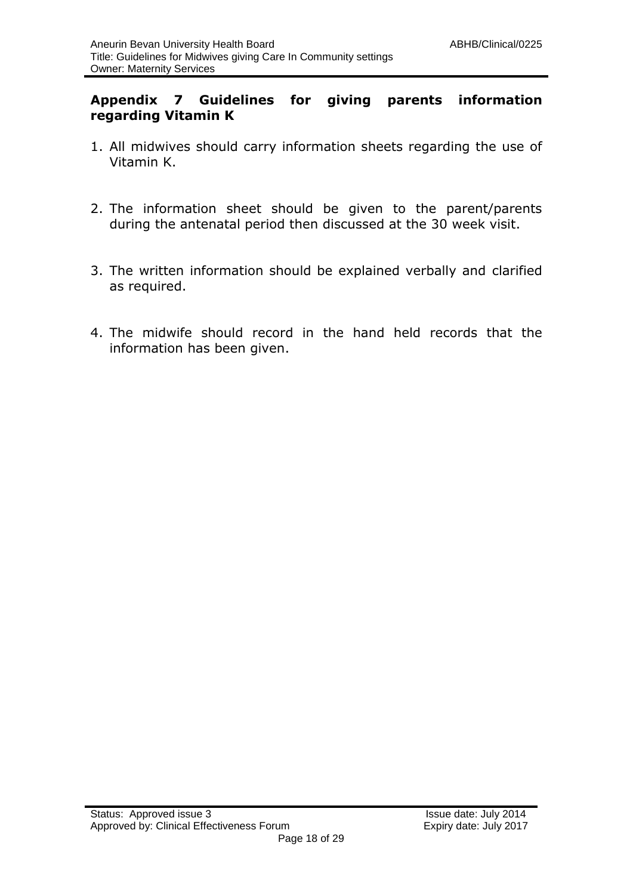#### **Appendix 7 Guidelines for giving parents information regarding Vitamin K**

- 1. All midwives should carry information sheets regarding the use of Vitamin K.
- 2. The information sheet should be given to the parent/parents during the antenatal period then discussed at the 30 week visit.
- 3. The written information should be explained verbally and clarified as required.
- 4. The midwife should record in the hand held records that the information has been given.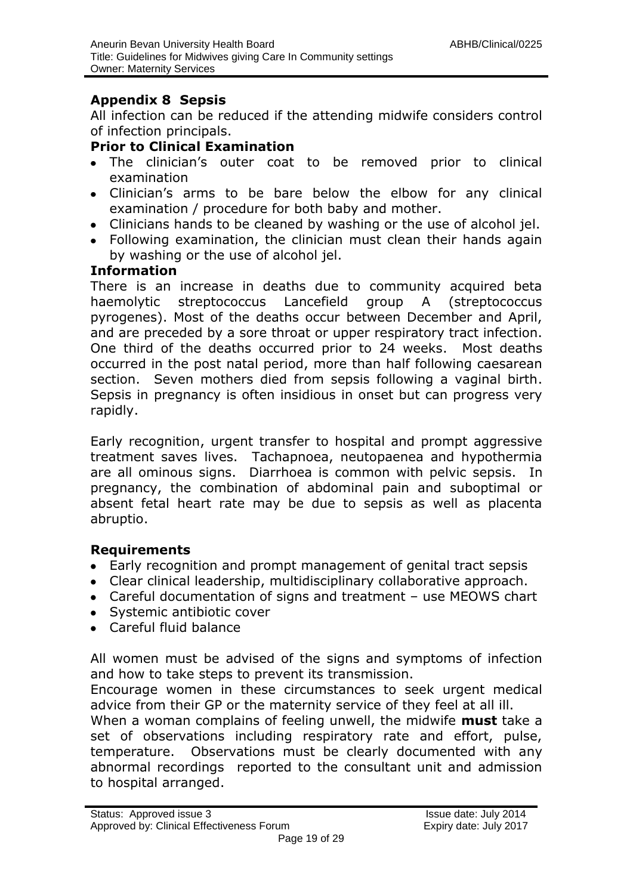#### **Appendix 8 Sepsis**

All infection can be reduced if the attending midwife considers control of infection principals.

#### **Prior to Clinical Examination**

- The clinician's outer coat to be removed prior to clinical examination
- Clinician's arms to be bare below the elbow for any clinical examination / procedure for both baby and mother.
- Clinicians hands to be cleaned by washing or the use of alcohol jel.
- Following examination, the clinician must clean their hands again by washing or the use of alcohol jel.

#### **Information**

There is an increase in deaths due to community acquired beta haemolytic streptococcus Lancefield group A (streptococcus pyrogenes). Most of the deaths occur between December and April, and are preceded by a sore throat or upper respiratory tract infection. One third of the deaths occurred prior to 24 weeks. Most deaths occurred in the post natal period, more than half following caesarean section. Seven mothers died from sepsis following a vaginal birth. Sepsis in pregnancy is often insidious in onset but can progress very rapidly.

Early recognition, urgent transfer to hospital and prompt aggressive treatment saves lives. Tachapnoea, neutopaenea and hypothermia are all ominous signs. Diarrhoea is common with pelvic sepsis. In pregnancy, the combination of abdominal pain and suboptimal or absent fetal heart rate may be due to sepsis as well as placenta abruptio.

#### **Requirements**

- Early recognition and prompt management of genital tract sepsis
- Clear clinical leadership, multidisciplinary collaborative approach.
- Careful documentation of signs and treatment use MEOWS chart
- Systemic antibiotic cover
- Careful fluid balance

All women must be advised of the signs and symptoms of infection and how to take steps to prevent its transmission.

Encourage women in these circumstances to seek urgent medical advice from their GP or the maternity service of they feel at all ill.

When a woman complains of feeling unwell, the midwife **must** take a set of observations including respiratory rate and effort, pulse, temperature. Observations must be clearly documented with any abnormal recordings reported to the consultant unit and admission to hospital arranged.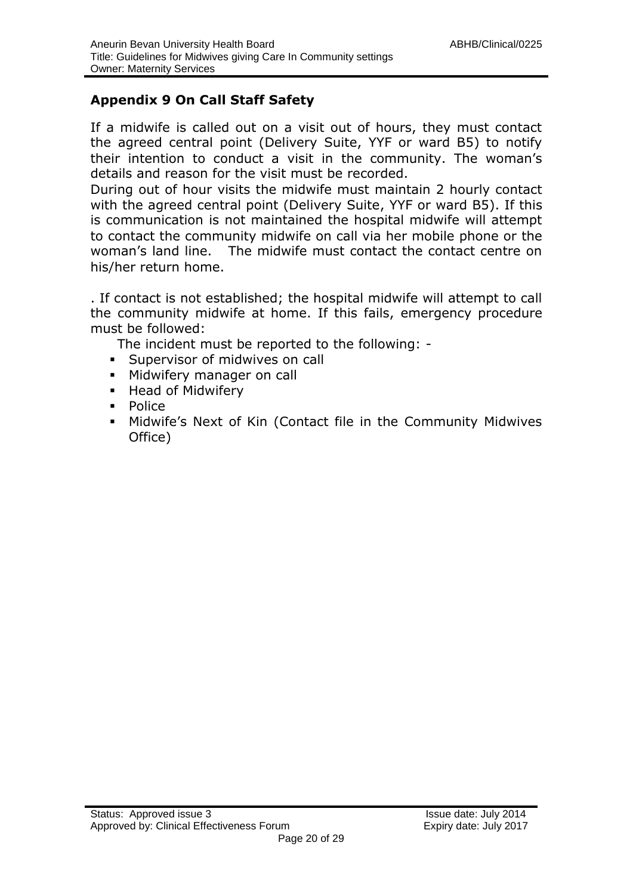#### **Appendix 9 On Call Staff Safety**

If a midwife is called out on a visit out of hours, they must contact the agreed central point (Delivery Suite, YYF or ward B5) to notify their intention to conduct a visit in the community. The woman's details and reason for the visit must be recorded.

During out of hour visits the midwife must maintain 2 hourly contact with the agreed central point (Delivery Suite, YYF or ward B5). If this is communication is not maintained the hospital midwife will attempt to contact the community midwife on call via her mobile phone or the woman's land line. The midwife must contact the contact centre on his/her return home.

. If contact is not established; the hospital midwife will attempt to call the community midwife at home. If this fails, emergency procedure must be followed:

The incident must be reported to the following: -

- **Supervisor of midwives on call**
- **Midwifery manager on call**
- **Head of Midwifery**
- **Police**
- Midwife's Next of Kin (Contact file in the Community Midwives Office)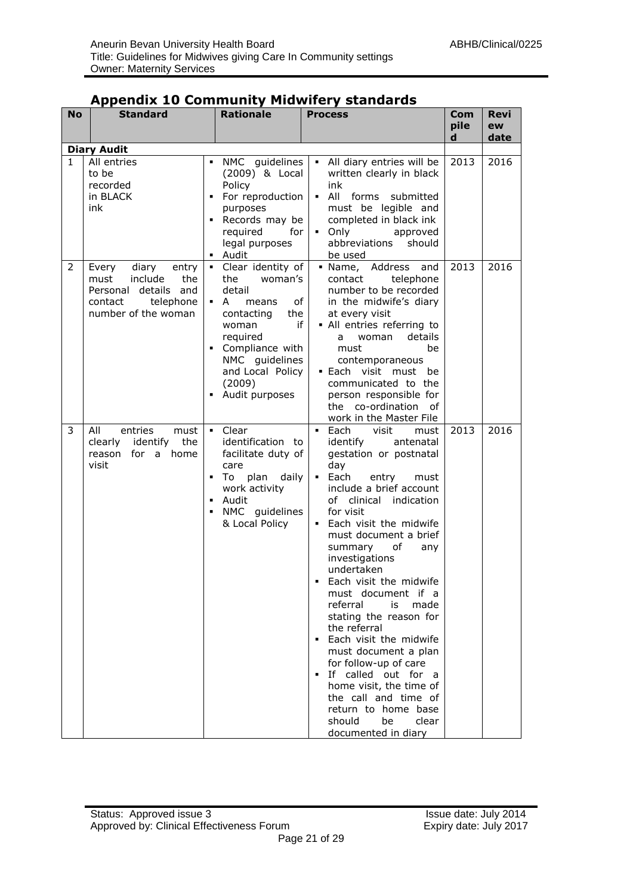| <b>No</b> | יי"<br><b>Standard</b>                                                                                                   | <b>Rationale</b>                                                                                                                                                                                                                     | <b>Process</b>                                                                                                                                                                                                                                                                                                                                                                                                                                                                                                                                                                                                                                                | Com       | Revi       |
|-----------|--------------------------------------------------------------------------------------------------------------------------|--------------------------------------------------------------------------------------------------------------------------------------------------------------------------------------------------------------------------------------|---------------------------------------------------------------------------------------------------------------------------------------------------------------------------------------------------------------------------------------------------------------------------------------------------------------------------------------------------------------------------------------------------------------------------------------------------------------------------------------------------------------------------------------------------------------------------------------------------------------------------------------------------------------|-----------|------------|
|           |                                                                                                                          |                                                                                                                                                                                                                                      |                                                                                                                                                                                                                                                                                                                                                                                                                                                                                                                                                                                                                                                               | pile<br>d | ew<br>date |
|           | <b>Diary Audit</b>                                                                                                       |                                                                                                                                                                                                                                      |                                                                                                                                                                                                                                                                                                                                                                                                                                                                                                                                                                                                                                                               |           |            |
| 1         | All entries<br>to be<br>recorded<br>in BLACK<br>ink                                                                      | NMC guidelines<br>٠<br>(2009) & Local<br>Policy<br>For reproduction<br>٠<br>purposes<br>Records may be<br>٠<br>required<br>for<br>legal purposes<br>• Audit                                                                          | All diary entries will be<br>written clearly in black<br>ink<br>All<br>forms submitted<br>$\blacksquare$<br>must be legible and<br>completed in black ink<br>Only<br>approved<br>abbreviations<br>should<br>be used                                                                                                                                                                                                                                                                                                                                                                                                                                           | 2013      | 2016       |
| 2         | diary entry<br>Every<br>include<br>the<br>must<br>Personal<br>details and<br>telephone<br>contact<br>number of the woman | Clear identity of<br>$\mathbf{u}$ .<br>the<br>woman's<br>detail<br>of<br>• A<br>means<br>the<br>contacting<br>if<br>woman<br>required<br>Compliance with<br>٠<br>NMC guidelines<br>and Local Policy<br>(2009)<br>Audit purposes<br>٠ | · Name, Address<br>and<br>telephone<br>contact<br>number to be recorded<br>in the midwife's diary<br>at every visit<br>• All entries referring to<br>details<br>woman<br>a<br>must<br>be<br>contemporaneous<br>• Each visit must<br>be<br>communicated to the<br>person responsible for<br>the co-ordination of<br>work in the Master File                                                                                                                                                                                                                                                                                                                    | 2013      | 2016       |
| 3         | entries<br>must<br>All<br>clearly<br>identify<br>the<br>reason for a home<br>visit                                       | - Clear<br>identification to<br>facilitate duty of<br>care<br>- To<br>plan<br>daily<br>٠<br>work activity<br>Audit<br>$\blacksquare$<br>NMC guidelines<br>$\blacksquare$<br>& Local Policy                                           | Each<br>visit<br>$\blacksquare$<br>must<br>identify<br>antenatal<br>gestation or postnatal<br>day<br>$-$ Each<br>entry<br>must<br>include a brief account<br>of clinical indication<br>for visit<br>• Each visit the midwife<br>must document a brief<br>of<br>any<br>summary<br>investigations<br>undertaken<br>Each visit the midwife<br>must document if a<br>referral<br>is<br>made<br>stating the reason for<br>the referral<br>Each visit the midwife<br>must document a plan<br>for follow-up of care<br>If called out for a<br>home visit, the time of<br>the call and time of<br>return to home base<br>clear<br>should<br>be<br>documented in diary | 2013      | 2016       |

#### **Appendix 10 Community Midwifery standards**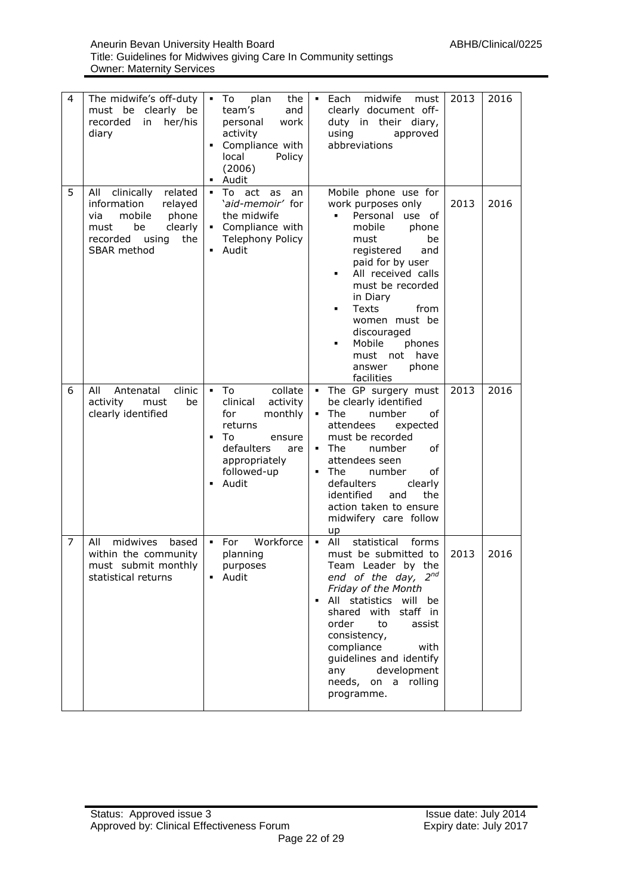| 4 | The midwife's off-duty<br>must be clearly be<br>recorded<br>in<br>her/his<br>diary                                                                          | plan<br>the<br>$\blacksquare$ To<br>team's<br>and<br>work<br>personal<br>activity<br>Compliance with<br>local<br>Policy<br>(2006)<br>• Audit                                                        | midwife<br>$-Each$<br>2013<br>must<br>2016<br>clearly document off-<br>duty in their diary,<br>using<br>approved<br>abbreviations                                                                                                                                                                                                                                     |
|---|-------------------------------------------------------------------------------------------------------------------------------------------------------------|-----------------------------------------------------------------------------------------------------------------------------------------------------------------------------------------------------|-----------------------------------------------------------------------------------------------------------------------------------------------------------------------------------------------------------------------------------------------------------------------------------------------------------------------------------------------------------------------|
| 5 | related<br>All<br>clinically<br>information<br>relayed<br>mobile<br>phone<br>via<br>be<br>clearly<br>must<br>recorded<br>the<br>using<br><b>SBAR</b> method | ■ To act<br>as<br>an<br>'aid-memoir' for<br>the midwife<br>• Compliance with<br><b>Telephony Policy</b><br>• Audit                                                                                  | Mobile phone use for<br>work purposes only<br>2013<br>2016<br>Personal<br>use of<br>mobile<br>phone<br>must<br>be<br>registered<br>and<br>paid for by user<br>All received calls<br>٠<br>must be recorded<br>in Diary<br>Texts<br>from<br>women must be<br>discouraged<br>Mobile<br>phones<br>have<br>must not<br>phone<br>answer<br>facilities                       |
| 6 | All<br>Antenatal<br>clinic<br>activity<br>must<br>be<br>clearly identified                                                                                  | collate<br>$\blacksquare$ To<br>clinical<br>activity<br>for<br>monthly<br>returns<br>To<br>$\blacksquare$<br>ensure<br>defaulters<br>are<br>appropriately<br>followed-up<br>Audit<br>$\blacksquare$ | . The GP surgery must<br>2013<br>2016<br>be clearly identified<br>The<br>number<br>оf<br>$\blacksquare$<br>attendees<br>expected<br>must be recorded<br>$\blacksquare$ The<br>number<br>of<br>attendees seen<br>The<br>number<br>οf<br>٠<br>defaulters<br>clearly<br>identified<br>the<br>and<br>action taken to ensure<br>midwifery care follow<br>up                |
| 7 | midwives<br>All<br>based<br>within the community<br>must submit monthly<br>statistical returns                                                              | Workforce<br>$-$ For<br>planning<br>purposes<br>Audit                                                                                                                                               | All<br>statistical<br>$\blacksquare$<br>forms<br>must be submitted to<br>2013<br>2016<br>Team Leader by the<br>end of the day, 2nd<br>Friday of the Month<br>· All statistics will<br>be<br>shared with staff in<br>order<br>to<br>assist<br>consistency,<br>compliance<br>with<br>guidelines and identify<br>development<br>any<br>needs, on a rolling<br>programme. |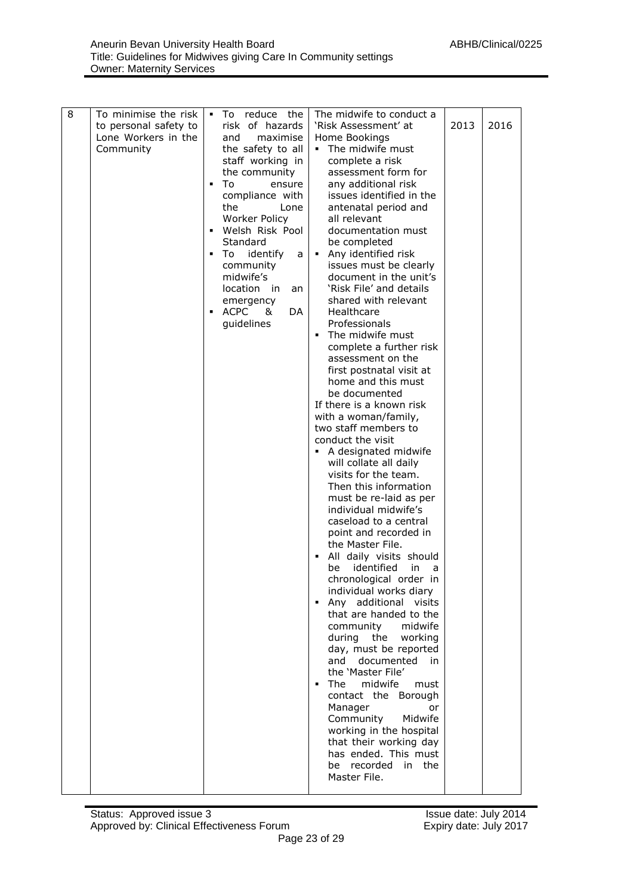| 8 | To minimise the risk                                      | The midwife to conduct a<br>To reduce the<br>٠.                                                                                                                                                                                                                                                                                                                                                                                                                                                                                                                                                                                                                                                                                                                                                                                                                                                                                                                                                                                                                                                                                                                                                                                                                                                                                                                                                                                                                                                                                                                                                                                                                                                                           |                                                            |      |
|---|-----------------------------------------------------------|---------------------------------------------------------------------------------------------------------------------------------------------------------------------------------------------------------------------------------------------------------------------------------------------------------------------------------------------------------------------------------------------------------------------------------------------------------------------------------------------------------------------------------------------------------------------------------------------------------------------------------------------------------------------------------------------------------------------------------------------------------------------------------------------------------------------------------------------------------------------------------------------------------------------------------------------------------------------------------------------------------------------------------------------------------------------------------------------------------------------------------------------------------------------------------------------------------------------------------------------------------------------------------------------------------------------------------------------------------------------------------------------------------------------------------------------------------------------------------------------------------------------------------------------------------------------------------------------------------------------------------------------------------------------------------------------------------------------------|------------------------------------------------------------|------|
|   | to personal safety to<br>Lone Workers in the<br>Community | risk of hazards<br>'Risk Assessment' at<br>and<br>maximise<br>Home Bookings<br>the safety to all<br>• The midwife must<br>staff working in<br>complete a risk<br>assessment form for<br>the community<br>any additional risk<br>To<br>$\blacksquare$<br>ensure<br>issues identified in the<br>compliance with<br>the<br>antenatal period and<br>Lone<br>Worker Policy<br>all relevant<br>Welsh Risk Pool<br>documentation must<br>٠<br>Standard<br>be completed<br>Any identified risk<br>identify<br>٠<br>To:<br>$\blacksquare$ .<br>a<br>community<br>issues must be clearly<br>midwife's<br>document in the unit's<br>location in<br>'Risk File' and details<br>an<br>shared with relevant<br>emergency<br>ACPC<br>Healthcare<br>DA<br>&<br>٠<br>Professionals<br>guidelines<br>The midwife must<br>complete a further risk<br>assessment on the<br>first postnatal visit at<br>home and this must<br>be documented<br>If there is a known risk<br>with a woman/family,<br>two staff members to<br>conduct the visit<br>A designated midwife<br>٠<br>will collate all daily<br>visits for the team.<br>Then this information<br>must be re-laid as per<br>individual midwife's<br>caseload to a central<br>point and recorded in<br>the Master File.<br>All daily visits should<br>identified<br>be<br>chronological order in<br>individual works diary<br>Any additional visits<br>that are handed to the<br>community<br>during the working<br>day, must be reported<br>documented<br>and<br>the 'Master File'<br>The<br>midwife<br>$\blacksquare$<br>contact the Borough<br>Manager<br>Community<br>working in the hospital<br>that their working day<br>has ended. This must<br>be recorded in the<br>Master File. | 2013<br>in.<br>a<br>midwife<br>in<br>must<br>or<br>Midwife | 2016 |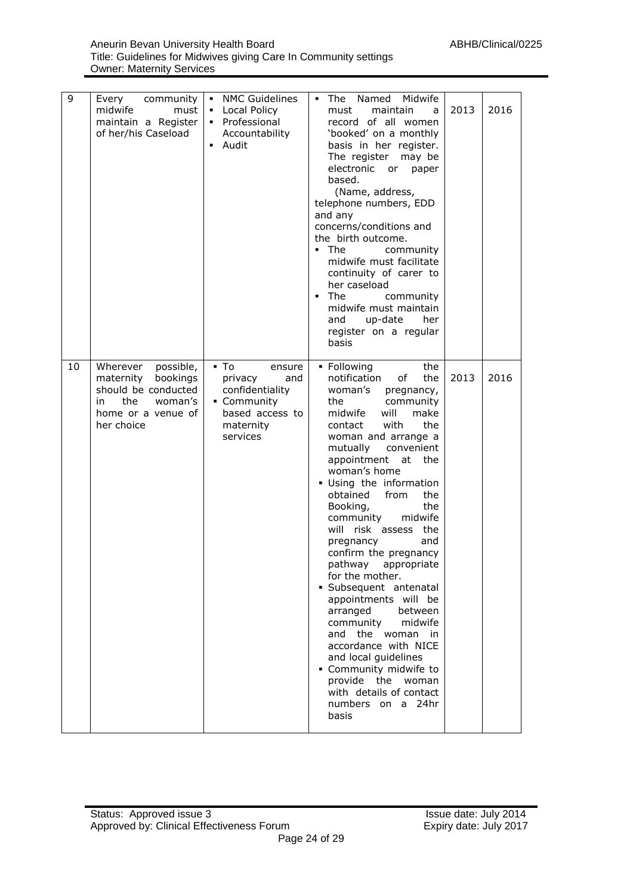| 9  | Every community<br>midwife<br>must<br>maintain a Register<br>of her/his Caseload                                                  | • NMC Guidelines<br>Local Policy<br>$\blacksquare$<br>• Professional<br>Accountability<br>Audit                             | Named Midwife<br>$\blacksquare$<br>The<br>must<br>maintain<br>a<br>record of all women<br>'booked' on a monthly<br>basis in her register.<br>The register may be<br>electronic<br>or paper<br>based.<br>(Name, address,<br>telephone numbers, EDD<br>and any<br>concerns/conditions and<br>the birth outcome.<br>$\blacksquare$ The<br>community<br>midwife must facilitate<br>continuity of carer to<br>her caseload<br>The<br>٠<br>community<br>midwife must maintain<br>up-date<br>her<br>and<br>register on a regular<br>basis                                                                                                                                                                                                                   | 2013 | 2016 |
|----|-----------------------------------------------------------------------------------------------------------------------------------|-----------------------------------------------------------------------------------------------------------------------------|------------------------------------------------------------------------------------------------------------------------------------------------------------------------------------------------------------------------------------------------------------------------------------------------------------------------------------------------------------------------------------------------------------------------------------------------------------------------------------------------------------------------------------------------------------------------------------------------------------------------------------------------------------------------------------------------------------------------------------------------------|------|------|
| 10 | Wherever<br>possible,<br>maternity<br>bookings<br>should be conducted<br>the<br>woman's<br>in<br>home or a venue of<br>her choice | $\blacksquare$ To<br>ensure<br>privacy<br>and<br>confidentiality<br>• Community<br>based access to<br>maternity<br>services | • Following<br>the<br>notification<br>the<br>οf<br>woman's<br>pregnancy,<br>the<br>community<br>midwife<br>will<br>make<br>with<br>the<br>contact<br>woman and arrange a<br>convenient<br>mutually<br>appointment<br>at<br>the<br>woman's home<br>· Using the information<br>obtained<br>from<br>the<br>the<br>Booking,<br>community<br>midwife<br>will risk assess<br>the<br>and<br>pregnancy<br>confirm the pregnancy<br>pathway appropriate<br>for the mother.<br>· Subsequent antenatal<br>appointments will be<br>between<br>arranged<br>community<br>midwife<br>and the woman<br>in<br>accordance with NICE<br>and local guidelines<br>• Community midwife to<br>provide the<br>woman<br>with details of contact<br>numbers on a 24hr<br>basis | 2013 | 2016 |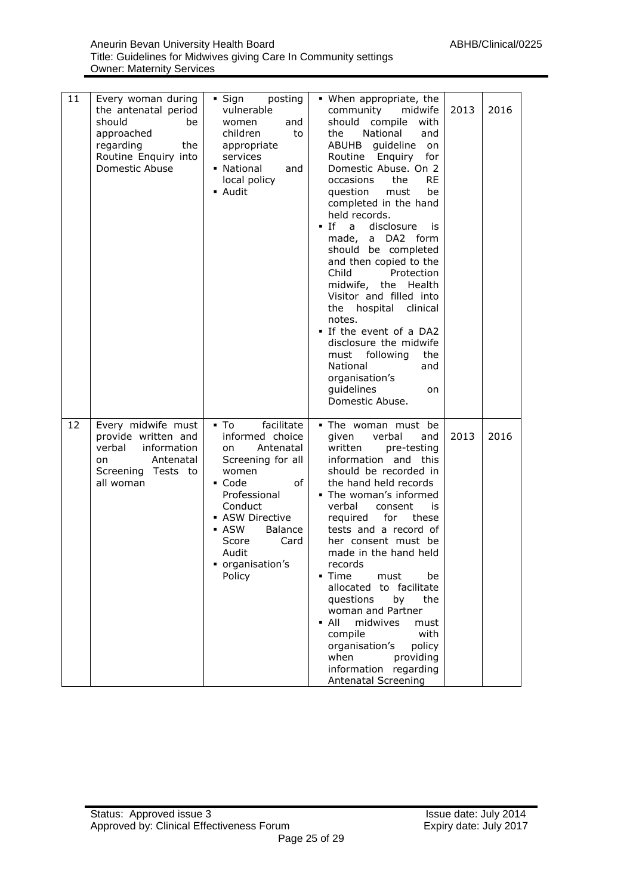| 11 | Every woman during<br>the antenatal period                                                                               | $\blacksquare$ Sign<br>posting<br>vulnerable                                                                                                                                                                                   | • When appropriate, the<br>community<br>midwife                                                                                                                                                                                                                                                                                                                                                                                                                                                                                                                                                                            | 2013 | 2016 |
|----|--------------------------------------------------------------------------------------------------------------------------|--------------------------------------------------------------------------------------------------------------------------------------------------------------------------------------------------------------------------------|----------------------------------------------------------------------------------------------------------------------------------------------------------------------------------------------------------------------------------------------------------------------------------------------------------------------------------------------------------------------------------------------------------------------------------------------------------------------------------------------------------------------------------------------------------------------------------------------------------------------------|------|------|
|    | should<br>be<br>approached<br>regarding<br>the<br>Routine Enquiry into<br>Domestic Abuse                                 | women<br>and<br>children<br>to<br>appropriate<br>services<br>• National<br>and<br>local policy<br>• Audit                                                                                                                      | should compile<br>with<br>the<br>National<br>and<br>ABUHB guideline<br>on<br>Routine Enquiry<br>for<br>Domestic Abuse. On 2<br><b>RE</b><br>occasions<br>the<br>question<br>must<br>be<br>completed in the hand<br>held records.<br>$-If$<br>$\overline{a}$<br>disclosure<br>is<br>made, a DA2 form<br>should be completed<br>and then copied to the<br>Child<br>Protection<br>midwife, the Health<br>Visitor and filled into<br>the hospital clinical<br>notes.<br>. If the event of a DA2<br>disclosure the midwife<br>must following<br>the<br>National<br>and<br>organisation's<br>quidelines<br>on<br>Domestic Abuse. |      |      |
| 12 | Every midwife must<br>provide written and<br>verbal<br>information<br>Antenatal<br>on<br>Screening Tests to<br>all woman | facilitate<br>▪ To<br>informed choice<br>Antenatal<br>on<br>Screening for all<br>women<br>of<br>• Code<br>Professional<br>Conduct<br>• ASW Directive<br>- ASW<br>Balance<br>Score<br>Card<br>Audit<br>organisation's<br>Policy | . The woman must be<br>given<br>verbal<br>and<br>written<br>pre-testing<br>information and this<br>should be recorded in<br>the hand held records<br>• The woman's informed<br>verbal<br>consent<br>is<br>for<br>required<br>these<br>tests and a record of<br>her consent must be<br>made in the hand held<br>records<br>• Time<br>must<br>be<br>allocated to facilitate<br>questions<br>by<br>the<br>woman and Partner<br>$\blacksquare$ All<br>midwives<br>must<br>with<br>compile<br>organisation's<br>policy<br>when<br>providing<br>information regarding<br>Antenatal Screening                                     | 2013 | 2016 |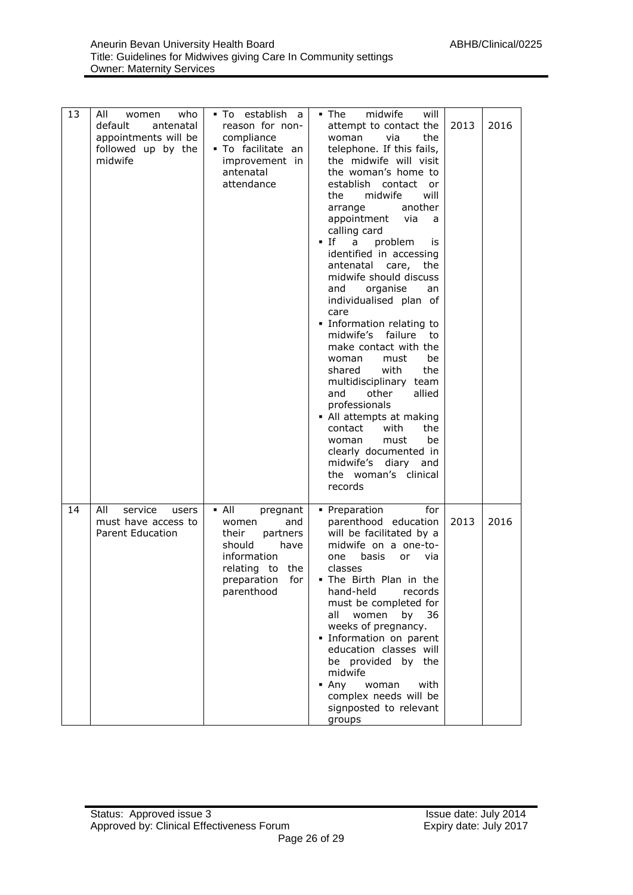| 13 | who<br>All<br>women<br>default<br>antenatal<br>appointments will be<br>followed up by the<br>midwife | . To establish a<br>reason for non-<br>compliance<br>· To facilitate an<br>improvement in<br>antenatal<br>attendance                                        | midwife<br>$\blacksquare$ The<br>will<br>attempt to contact the<br>via<br>the<br>woman<br>telephone. If this fails,<br>the midwife will visit<br>the woman's home to<br>establish contact or<br>midwife<br>will<br>the<br>another<br>arrange<br>appointment via<br>a<br>calling card<br>$\blacksquare$ If<br>a problem<br>is<br>identified in accessing<br>antenatal care, the<br>midwife should discuss<br>organise<br>and<br>an<br>individualised plan of<br>care<br>· Information relating to<br>midwife's failure to<br>make contact with the<br>must<br>be<br>woman<br>with<br>shared<br>the<br>multidisciplinary team<br>other<br>allied<br>and<br>professionals<br>• All attempts at making<br>with<br>the<br>contact<br>must<br>woman<br>be<br>clearly documented in<br>midwife's diary and<br>the woman's clinical<br>records | 2013 | 2016 |
|----|------------------------------------------------------------------------------------------------------|-------------------------------------------------------------------------------------------------------------------------------------------------------------|----------------------------------------------------------------------------------------------------------------------------------------------------------------------------------------------------------------------------------------------------------------------------------------------------------------------------------------------------------------------------------------------------------------------------------------------------------------------------------------------------------------------------------------------------------------------------------------------------------------------------------------------------------------------------------------------------------------------------------------------------------------------------------------------------------------------------------------|------|------|
| 14 | All<br>service<br>users<br>must have access to<br><b>Parent Education</b>                            | $\blacksquare$ All<br>pregnant<br>and<br>women<br>their<br>partners<br>should<br>have<br>information<br>relating to the<br>for<br>preparation<br>parenthood | • Preparation<br>for<br>parenthood education<br>will be facilitated by a<br>midwife on a one-to-<br>basis<br>via<br>one<br>or<br>classes<br>. The Birth Plan in the<br>hand-held<br>records<br>must be completed for<br>all<br>women<br>36<br>by<br>weeks of pregnancy.<br>· Information on parent<br>education classes will<br>be provided by the<br>midwife<br>$- Any$<br>woman<br>with<br>complex needs will be<br>signposted to relevant<br>groups                                                                                                                                                                                                                                                                                                                                                                                 | 2013 | 2016 |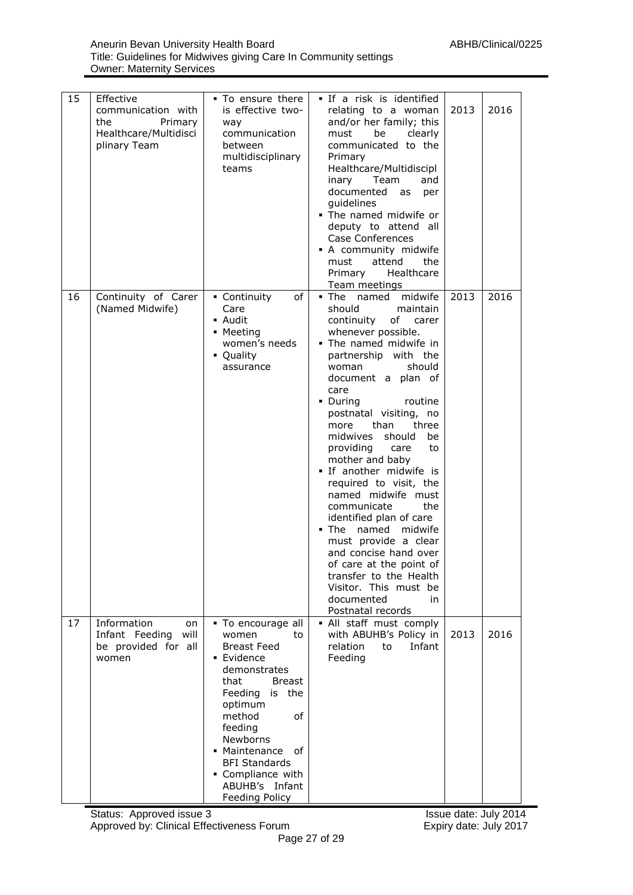| 15 | Effective<br>communication with<br>the<br>Primary<br>Healthcare/Multidisci<br>plinary Team | . To ensure there<br>is effective two-<br>way<br>communication<br>between<br>multidisciplinary<br>teams                                                                                                                                                                                       | . If a risk is identified<br>relating to a woman<br>and/or her family; this<br>must<br>be<br>clearly<br>communicated to the<br>Primary<br>Healthcare/Multidiscipl<br>Team<br>inary<br>and<br>documented<br>as<br>per<br>guidelines<br>. The named midwife or<br>deputy to attend all<br>Case Conferences<br>• A community midwife<br>attend<br>the<br>must<br>Primary<br>Healthcare<br>Team meetings                                                                                                                                                                                                                                                                                           | 2013 | 2016 |
|----|--------------------------------------------------------------------------------------------|-----------------------------------------------------------------------------------------------------------------------------------------------------------------------------------------------------------------------------------------------------------------------------------------------|------------------------------------------------------------------------------------------------------------------------------------------------------------------------------------------------------------------------------------------------------------------------------------------------------------------------------------------------------------------------------------------------------------------------------------------------------------------------------------------------------------------------------------------------------------------------------------------------------------------------------------------------------------------------------------------------|------|------|
| 16 | Continuity of Carer<br>(Named Midwife)                                                     | of<br>• Continuity<br>Care<br>• Audit<br>• Meeting<br>women's needs<br>• Quality<br>assurance                                                                                                                                                                                                 | . The named midwife<br>should<br>maintain<br>of<br>continuity<br>carer<br>whenever possible.<br>. The named midwife in<br>partnership with the<br>should<br>woman<br>document a plan of<br>care<br>• During<br>routine<br>postnatal visiting, no<br>more<br>than<br>three<br>midwives should<br>be<br>providing<br>care<br>to<br>mother and baby<br>. If another midwife is<br>required to visit, the<br>named midwife must<br>communicate<br>the<br>identified plan of care<br>$\blacksquare$ The<br>midwife<br>named<br>must provide a clear<br>and concise hand over<br>of care at the point of<br>transfer to the Health<br>Visitor. This must be<br>documented<br>in<br>Postnatal records | 2013 | 2016 |
| 17 | Information<br>on<br>Infant Feeding<br>will<br>be provided for all<br>women                | • To encourage all<br>women<br>to<br><b>Breast Feed</b><br>• Evidence<br>demonstrates<br>that<br><b>Breast</b><br>Feeding<br>is the<br>optimum<br>method<br>of<br>feeding<br>Newborns<br>• Maintenance<br>оf<br><b>BFI Standards</b><br>• Compliance with<br>ABUHB's Infant<br>Feeding Policy | · All staff must comply<br>with ABUHB's Policy in<br>relation<br>Infant<br>to<br>Feeding                                                                                                                                                                                                                                                                                                                                                                                                                                                                                                                                                                                                       | 2013 | 2016 |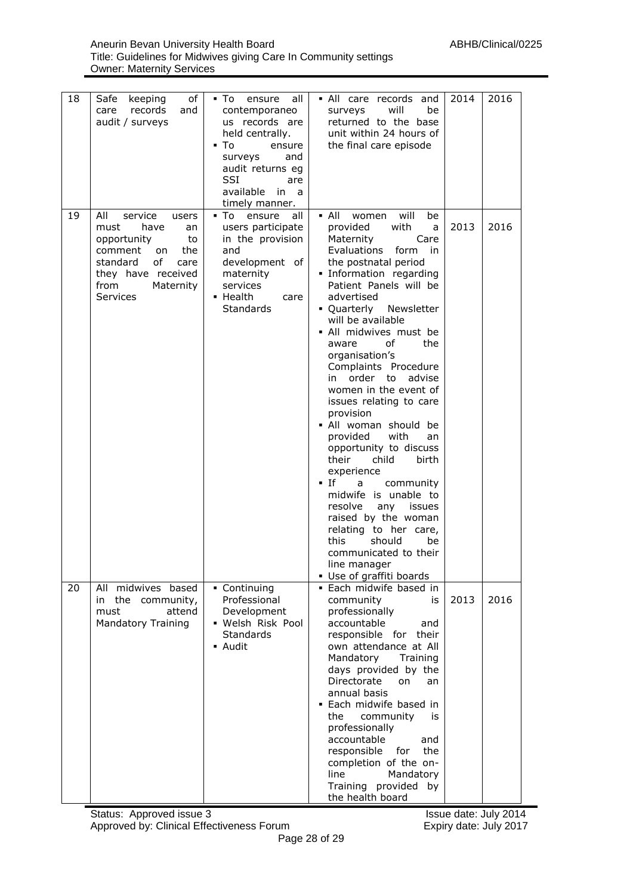| 18 | of<br>Safe<br>keeping<br>records<br>and<br>care<br>audit / surveys                                                                                                           | all<br>▪ To<br>ensure<br>contemporaneo<br>us records are<br>held centrally.<br>▪ To<br>ensure<br>and<br>surveys<br>audit returns eg<br><b>SSI</b><br>are<br>available<br>in<br>a<br>timely manner. | . All care records and<br>will<br>be<br>surveys<br>returned to the base<br>unit within 24 hours of<br>the final care episode                                                                                                                                                                                                                                                                                                                                                                                                                                                                                                                                                                                                                                                                                          | 2014 | 2016 |
|----|------------------------------------------------------------------------------------------------------------------------------------------------------------------------------|----------------------------------------------------------------------------------------------------------------------------------------------------------------------------------------------------|-----------------------------------------------------------------------------------------------------------------------------------------------------------------------------------------------------------------------------------------------------------------------------------------------------------------------------------------------------------------------------------------------------------------------------------------------------------------------------------------------------------------------------------------------------------------------------------------------------------------------------------------------------------------------------------------------------------------------------------------------------------------------------------------------------------------------|------|------|
| 19 | All<br>service<br>users<br>must<br>have<br>an<br>opportunity<br>to<br>the<br>comment<br>on.<br>οf<br>standard<br>care<br>they have received<br>from<br>Maternity<br>Services | all<br>▪ To<br>ensure<br>users participate<br>in the provision<br>and<br>development of<br>maternity<br>services<br>• Health<br>care<br><b>Standards</b>                                           | $\blacksquare$ All<br>will<br>be<br>women<br>provided<br>with<br>a<br>Maternity<br>Care<br><b>Evaluations</b><br>form<br><i>in</i><br>the postnatal period<br>. Information regarding<br>Patient Panels will be<br>advertised<br>• Quarterly<br>Newsletter<br>will be available<br>• All midwives must be<br>the<br>aware<br>οf<br>organisation's<br>Complaints Procedure<br>order to<br>advise<br>in<br>women in the event of<br>issues relating to care<br>provision<br>• All woman should be<br>provided<br>with<br>an<br>opportunity to discuss<br>their<br>child<br>birth<br>experience<br>• If<br>community<br>a<br>midwife is unable to<br>resolve<br>any<br>issues<br>raised by the woman<br>relating to her care,<br>this<br>should<br>be<br>communicated to their<br>line manager<br>Use of graffiti boards | 2013 | 2016 |
| 20 | All midwives based<br>in the community,<br>attend<br>must<br><b>Mandatory Training</b>                                                                                       | • Continuing<br>Professional<br>Development<br>• Welsh Risk Pool<br><b>Standards</b><br>• Audit                                                                                                    | • Each midwife based in<br>community<br>is<br>professionally<br>accountable<br>and<br>responsible for<br>their<br>own attendance at All<br>Mandatory<br>Training<br>days provided by the<br>Directorate<br>on<br>an<br>annual basis<br>• Each midwife based in<br>community<br>the<br>is<br>professionally<br>accountable<br>and<br>responsible<br>for<br>the<br>completion of the on-<br>Mandatory<br>line<br>Training provided by<br>the health board                                                                                                                                                                                                                                                                                                                                                               | 2013 | 2016 |